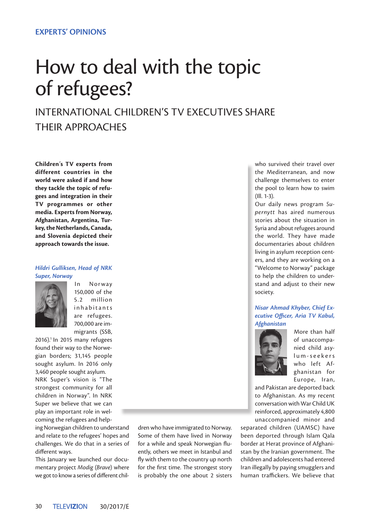# How to deal with the topic of refugees?

INTERNATIONAL CHILDREN'S TV EXECUTIVES SHARE THEIR APPROACHES

**Children´s TV experts from different countries in the world were asked if and how they tackle the topic of refugees and integration in their TV programmes or other media. Experts from Norway, Afghanistan, Argentina, Turkey, the Netherlands, Canada, and Slovenia depicted their approach towards the issue.**

## *Hildri Gulliksen, Head of NRK Super, Norway*



In Norway 150,000 of the 5. 2 million inhabitants are refugees. 700,000 are immigrants (SSB,

2016).1 In 2015 many refugees found their way to the Norwegian borders; 31,145 people sought asylum. In 2016 only 3,460 people sought asylum.

NRK Super's vision is "The strongest community for all children in Norway". In NRK Super we believe that we can play an important role in welcoming the refugees and help-

ing Norwegian children to understand and relate to the refugees' hopes and challenges. We do that in a series of different ways.

This January we launched our documentary project *Modig* (*Brave*) where we got to know a series of different children who have immigrated to Norway. Some of them have lived in Norway for a while and speak Norwegian fluently, others we meet in Istanbul and fly with them to the country up north for the first time. The strongest story is probably the one about 2 sisters who survived their travel over the Mediterranean, and now challenge themselves to enter the pool to learn how to swim (Ill. 1-3).

Our daily news program *Supernytt* has aired numerous stories about the situation in Syria and about refugees around the world. They have made documentaries about children living in asylum reception centers, and they are working on a "Welcome to Norway" package to help the children to understand and adjust to their new society.

#### *Nisar Ahmad Khyber, Chief Executive Officer, Aria TV Kabul, Afghanistan*



More than half of unaccompanied child asyl u m - s e e k e r s who left Afghanistan for Europe, Iran,

and Pakistan are deported back to Afghanistan. As my recent conversation with War Child UK reinforced, approximately 4,800 unaccompanied minor and

separated children (UAMSC) have been deported through Islam Qala border at Herat province of Afghanistan by the Iranian government. The children and adolescents had entered Iran illegally by paying smugglers and human traffickers. We believe that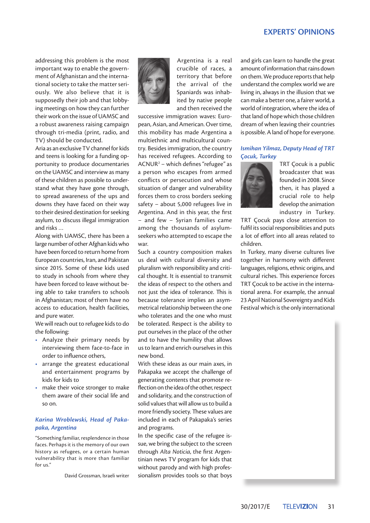# **EXPERTS' OPINIONS**

addressing this problem is the most important way to enable the government of Afghanistan and the international society to take the matter seriously. We also believe that it is supposedly their job and that lobbying meetings on how they can further their work on the issue of UAMSC and a robust awareness raising campaign through tri-media (print, radio, and TV) should be conducted.

Aria as an exclusive TV channel for kids and teens is looking for a funding opportunity to produce documentaries on the UAMSC and interview as many of these children as possible to understand what they have gone through, to spread awareness of the ups and downs they have faced on their way to their desired destination for seeking asylum, to discuss illegal immigration and risks …

Along with UAMSC, there has been a large number of other Afghan kids who have been forced to return home from European countries, Iran, and Pakistan since 2015. Some of these kids used to study in schools from where they have been forced to leave without being able to take transfers to schools in Afghanistan; most of them have no access to education, health facilities, and pure water.

We will reach out to refugee kids to do the following:

- Analyze their primary needs by interviewing them face-to-face in order to influence others,
- arrange the greatest educational and entertainment programs by kids for kids to
- make their voice stronger to make them aware of their social life and so on.

## *Karina Wroblewski, Head of Pakapaka, Argentina*

"Something familiar, resplendence in those faces. Perhaps it is the memory of our own history as refugees, or a certain human vulnerability that is more than familiar for us."

David Grossman, Israeli writer



Argentina is a real crucible of races, a territory that before the arrival of the Spaniards was inhabited by native people and then received the

successive immigration waves: European, Asian, and American. Over time, this mobility has made Argentina a multiethnic and multicultural country. Besides immigration, the country has received refugees. According to  $ACNUR<sup>2</sup>$  – which defines "refugee" as a person who escapes from armed conflicts or persecution and whose situation of danger and vulnerability forces them to cross borders seeking safety − about 5,000 refugees live in Argentina. And in this year, the first − and few − Syrian families came among the thousands of asylumseekers who attempted to escape the war.

Such a country composition makes us deal with cultural diversity and pluralism with responsibility and critical thought. It is essential to transmit the ideas of respect to the others and not just the idea of tolerance. This is because tolerance implies an asymmetrical relationship between the one who tolerates and the one who must be tolerated. Respect is the ability to put ourselves in the place of the other and to have the humility that allows us to learn and enrich ourselves in this new bond.

With these ideas as our main axes, in Pakapaka we accept the challenge of generating contents that promote reflection on the idea of the other, respect and solidarity, and the construction of solid values that will allow us to build a more friendly society. These values are included in each of Pakapaka's series and programs.

In the specific case of the refugee issue, we bring the subject to the screen through *Alta Noticia*, the first Argentinian news TV program for kids that without parody and with high professionalism provides tools so that boys

and girls can learn to handle the great amount of information that rains down on them. We produce reports that help understand the complex world we are living in, always in the illusion that we can make a better one, a fairer world, a world of integration, where the idea of that land of hope which those children dream of when leaving their countries is possible. A land of hope for everyone.

### *Ismihan Yilmaz, Deputy Head of TRT Çocuk, Turkey*



TRT Çocuk is a public broadcaster that was founded in 2008. Since then, it has played a crucial role to help develop the animation industry in Turkey.

TRT Çocuk pays close attention to fulfil its social responsibilities and puts a lot of effort into all areas related to children.

In Turkey, many diverse cultures live together in harmony with different languages, religions, ethnic origins, and cultural riches. This experience forces TRT Çocuk to be active in the international arena. For example, the annual 23 April National Sovereignty and Kids Festival which is the only international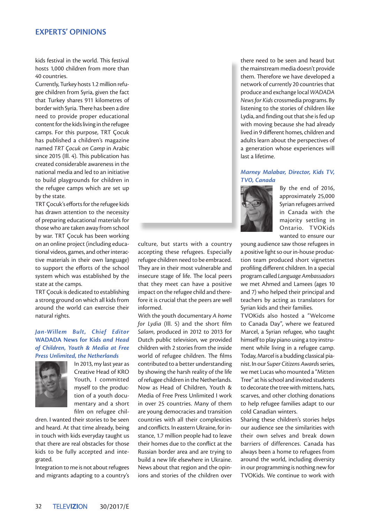# **EXPERTS' OPINIONS**

kids festival in the world. This festival hosts 1,000 children from more than 40 countries.

Currently, Turkey hosts 1.2 million refugee children from Syria, given the fact that Turkey shares 911 kilometres of border with Syria. There has been a dire need to provide proper educational content for the kids living in the refugee camps. For this purpose, TRT Çocuk has published a children's magazine named *TRT Çocuk on Camp* in Arabic since 2015 (Ill. 4). This publication has created considerable awareness in the national media and led to an initiative to build playgrounds for children in the refugee camps which are set up by the state.

TRT Çocuk's efforts for the refugee kids has drawn attention to the necessity of preparing educational materials for those who are taken away from school by war. TRT Çocuk has been working on an online project (including educational videos, games, and other interactive materials in their own language) to support the efforts of the school system which was established by the state at the camps.

TRT Çocuk is dedicated to establishing a strong ground on which all kids from around the world can exercise their natural rights.

## *Jan-Willem Bult, Chief Editor*  **WADADA News for Kids** *and Head of Children, Youth & Media at Free Press Unlimited, the Netherlands*



In 2013, my last year as Creative Head of KRO Youth, I committed myself to the production of a youth documentary and a short film on refugee chil-

dren. I wanted their stories to be seen and heard. At that time already, being in touch with kids everyday taught us that there are real obstacles for those kids to be fully accepted and integrated.

Integration to me is not about refugees and migrants adapting to a country's culture, but starts with a country accepting these refugees. Especially refugee children need to be embraced. They are in their most vulnerable and insecure stage of life. The local peers that they meet can have a positive impact on the refugee child and therefore it is crucial that the peers are well informed.

With the youth documentary *A home for Lydia* (Ill. 5) and the short film *Salam*, produced in 2012 to 2013 for Dutch public television, we provided children with 2 stories from the inside world of refugee children. The films contributed to a better understanding by showing the harsh reality of the life of refugee children in the Netherlands. Now as Head of Children, Youth & Media of Free Press Unlimited I work in over 25 countries. Many of them are young democracies and transition countries with all their complexities and conflicts. In eastern Ukraine, for instance, 1.7 million people had to leave their homes due to the conflict at the Russian border area and are trying to build a new life elsewhere in Ukraine. News about that region and the opinions and stories of the children over

there need to be seen and heard but the mainstream media doesn't provide them. Therefore we have developed a network of currently 20 countries that produce and exchange local *WADADA News for Kids* crossmedia programs. By listening to the stories of children like Lydia, and finding out that she is fed up with moving because she had already lived in 9 different homes, children and adults learn about the perspectives of a generation whose experiences will last a lifetime.

#### *Marney Malabar, Director, Kids TV, TVO, Canada*



By the end of 2016, approximately 25,000 Syrian refugees arrived in Canada with the majority settling in Ontario. TVOKids wanted to ensure our

young audience saw those refugees in a positive light so our in-house production team produced short vignettes profiling different children. In a special program called *Language Ambassadors* we met Ahmed and Lamees (ages 10 and 7) who helped their principal and teachers by acting as translators for Syrian kids and their families.

TVOKids also hosted a "Welcome to Canada Day", where we featured Marcel, a Syrian refugee, who taught himself to play piano using a toy instrument while living in a refugee camp. Today, Marcel is a budding classical pianist. In our *Super Citizens Awards* series, we met Lucas who mounted a "Mitten Tree" at his school and invited students to decorate the tree with mittens, hats, scarves, and other clothing donations to help refugee families adapt to our cold Canadian winters.

Sharing these children's stories helps our audience see the similarities with their own selves and break down barriers of differences. Canada has always been a home to refugees from around the world, including diversity in our programming is nothing new for TVOKids. We continue to work with